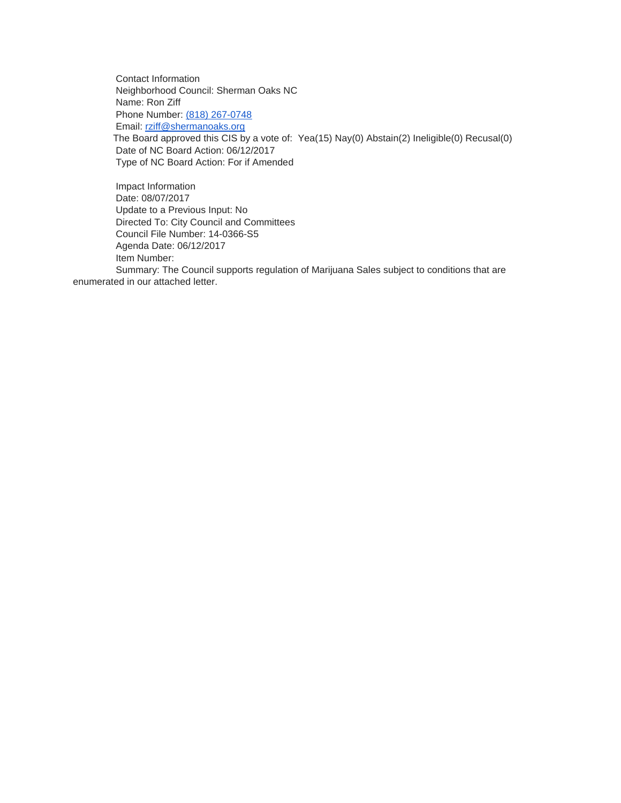Contact Information Neighborhood Council: Sherman Oaks NC Name: Ron Ziff Phone Number: [\(818\) 267-0748](tel:%28818%29%20267-0748) Email: [rziff@shermanoaks.org](mailto:rziff@shermanoaks.org) The Board approved this CIS by a vote of: Yea(15) Nay(0) Abstain(2) Ineligible(0) Recusal(0) Date of NC Board Action: 06/12/2017 Type of NC Board Action: For if Amended

Impact Information Date: 08/07/2017 Update to a Previous Input: No Directed To: City Council and Committees Council File Number: 14-0366-S5 Agenda Date: 06/12/2017 Item Number: Summary: The Council supports regulation of Marijuana Sales subject to conditions that are

enumerated in our attached letter.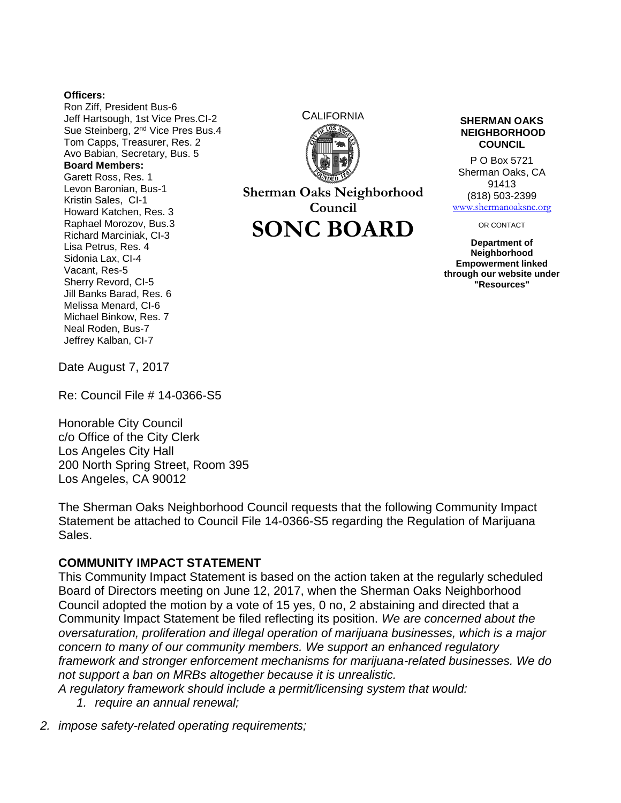## **Officers:**

Ron Ziff, President Bus-6 Jeff Hartsough, 1st Vice Pres.CI-2 Sue Steinberg, 2<sup>nd</sup> Vice Pres Bus.4 Tom Capps, Treasurer, Res. 2 Avo Babian, Secretary, Bus. 5 **Board Members:** Garett Ross, Res. 1 Levon Baronian, Bus-1 Kristin Sales, CI-1 Howard Katchen, Res. 3 Raphael Morozov, Bus.3 Richard Marciniak, CI-3 Lisa Petrus, Res. 4 Sidonia Lax, CI-4 Vacant, Res-5 Sherry Revord, CI-5 Jill Banks Barad, Res. 6 Melissa Menard, CI-6 Michael Binkow, Res. 7 Neal Roden, Bus-7 Jeffrey Kalban, CI-7



**Sherman Oaks Neighborhood Council**

**SONC BOARD**

## **NEIGHBORHOOD COUNCIL**

P O Box 5721 Sherman Oaks, CA 91413 (818) 503-2399 [www.shermanoaksnc.org](http://www.shermanoaksnc.org/)

OR CONTACT

**Department of Neighborhood Empowerment linked through our website under "Resources"**

Date August 7, 2017

Re: Council File # 14-0366-S5

Honorable City Council c/o Office of the City Clerk Los Angeles City Hall 200 North Spring Street, Room 395 Los Angeles, CA 90012

The Sherman Oaks Neighborhood Council requests that the following Community Impact Statement be attached to Council File 14-0366-S5 regarding the Regulation of Marijuana Sales.

## **COMMUNITY IMPACT STATEMENT**

This Community Impact Statement is based on the action taken at the regularly scheduled Board of Directors meeting on June 12, 2017, when the Sherman Oaks Neighborhood Council adopted the motion by a vote of 15 yes, 0 no, 2 abstaining and directed that a Community Impact Statement be filed reflecting its position. *We are concerned about the oversaturation, proliferation and illegal operation of marijuana businesses, which is a major concern to many of our community members. We support an enhanced regulatory framework and stronger enforcement mechanisms for marijuana-related businesses. We do not support a ban on MRBs altogether because it is unrealistic.*

*A regulatory framework should include a permit/licensing system that would:*

- *1. require an annual renewal;*
- *2. impose safety-related operating requirements;*